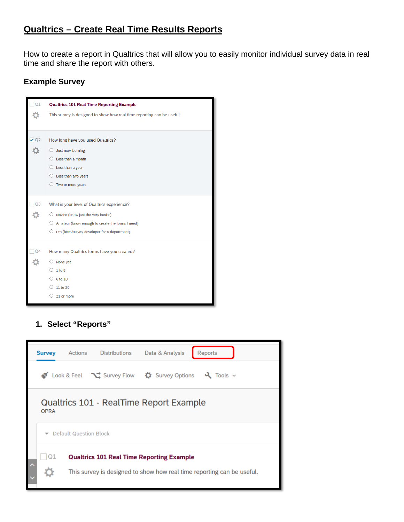# **Qualtrics – Create Real Time Results Reports**

How to create a report in Qualtrics that will allow you to easily monitor individual survey data in real time and share the report with others.

## **Example Survey**

| This survey is designed to show how real time reporting can be useful. |
|------------------------------------------------------------------------|
|                                                                        |
|                                                                        |
| How long have you used Qualtrics?                                      |
| Just now learning                                                      |
| Less than a month                                                      |
| Less than a year                                                       |
| Less than two years                                                    |
| $\bigcirc$ Two or more years                                           |
|                                                                        |
| What is your level of Qualtrics experience?                            |
| $\bigcirc$ Novice (know just the very basics)                          |
| $\bigcirc$ Amateur (know enough to create the forms I need)            |
| $\bigcirc$ Pro (form/survey developer for a department)                |
| How many Qualtrics forms have you created?                             |
|                                                                        |
|                                                                        |
|                                                                        |
|                                                                        |
| 21 or more                                                             |
|                                                                        |

## **1. Select "Reports"**

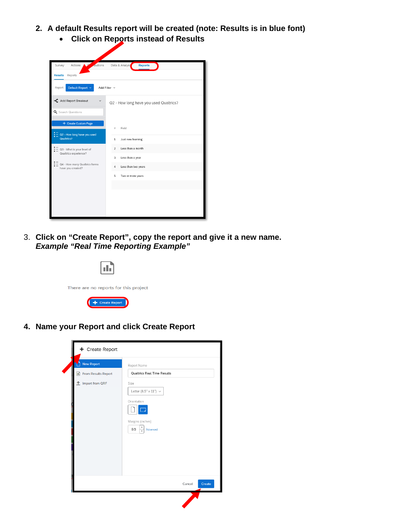- **2. A default Results report will be created (note: Results is in blue font)**
	- **Click on Reports instead of Results**

| Survey<br>Actions<br>doutions                        | <b>Reports</b><br>Data & Analysi       |
|------------------------------------------------------|----------------------------------------|
| <b>Results</b><br>Reports                            |                                        |
| Default Report v<br>Report:                          | Add Filter v                           |
| Add Report Breakout                                  | Q2 - How long have you used Qualtrics? |
| Q Search Questions                                   |                                        |
| + Create Custom Page                                 | $\pm$<br>Field                         |
| $=$ Q2 - How long have you used<br><b>Qualtrics?</b> | Just now learning<br>$\mathbf{1}$      |
| Q3 - What is your level of<br>Qualtrics experience?  | Less than a month<br>$\overline{2}$    |
|                                                      | Less than a year<br>3                  |
| Q4 - How many Qualtrics forms<br>have you created?   | Less than two years<br>4               |
|                                                      | 5<br>Two or more years                 |
|                                                      |                                        |
|                                                      |                                        |
|                                                      |                                        |
|                                                      |                                        |
|                                                      |                                        |

3. **Click on "Create Report", copy the report and give it a new name.** *Example "Real Time Reporting Example"*

| There are no reports for this project |
|---------------------------------------|
| <b>Create Report</b>                  |

**4. Name your Report and click Create Report**

| <b>New Report</b><br>Π<br><b>In</b> From Results Report<br>↑ Import from QRF | Report Name<br><b>Qualtrics Real Time Results</b><br>Size<br>Letter $(8.5" \times 11") \sim$<br>Orientation<br>Margins (inches)<br>٠<br>0.5<br>Advanced |
|------------------------------------------------------------------------------|---------------------------------------------------------------------------------------------------------------------------------------------------------|
|                                                                              | Create<br>Cancel                                                                                                                                        |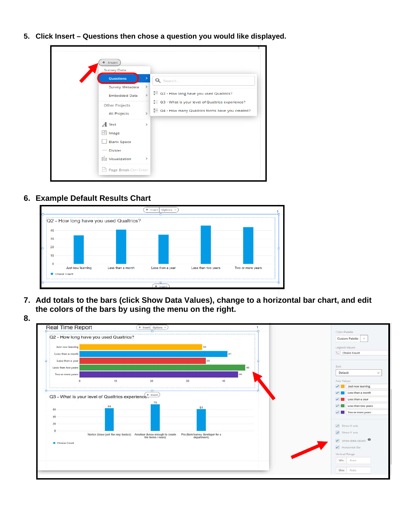**5. Click Insert – Questions then chose a question you would like displayed.**

| Insert<br><b>Survey Data</b><br><b>Questions</b>                          | Q Search                                                                                                                                                      |
|---------------------------------------------------------------------------|---------------------------------------------------------------------------------------------------------------------------------------------------------------|
| Survey Metadata<br><b>Embedded Data</b><br>Other Projects<br>All Projects | ×<br>" Q2 - How long have you used Qualtrics?<br>×<br>○ Q3 - What is your level of Qualtrics experience?<br>○ Q4 - How many Qualtrics forms have you created? |
| $A$ Text<br><b>图</b> Image<br><b>Blank Space</b><br>- Divider             | s                                                                                                                                                             |
| <b>Ill</b> Visualization<br>Page Break Ctrl+Enter                         | >                                                                                                                                                             |

### **6. Example Default Results Chart**



**7. Add totals to the bars (click Show Data Values), change to a horizontal bar chart, and edit the colors of the bars by using the menu on the right.**



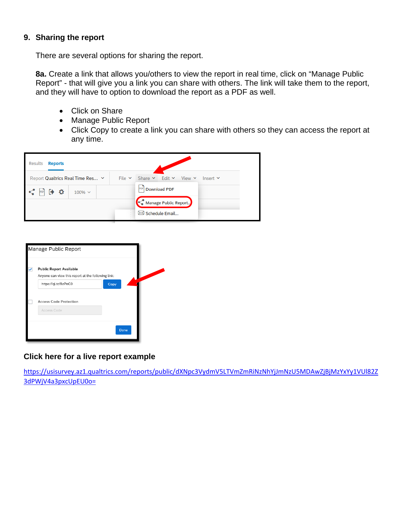#### **9. Sharing the report**

There are several options for sharing the report.

**8a.** Create a link that allows you/others to view the report in real time, click on "Manage Public Report" - that will give you a link you can share with others. The link will take them to the report, and they will have to option to download the report as a PDF as well.

- Click on Share
- Manage Public Report
- Click Copy to create a link you can share with others so they can access the report at any time.





#### **Click here for a live report example**

[https://usisurvey.az1.qualtrics.com/reports/public/dXNpc3VydmV5LTVmZmRiNzNhYjJmNzU5MDAwZjBjMzYxYy1VUl82Z](https://usisurvey.az1.qualtrics.com/reports/public/dXNpc3VydmV5LTVmZmRiNzNhYjJmNzU5MDAwZjBjMzYxYy1VUl82Z3dPWjV4a3pxcUpEU0o=) [3dPWjV4a3pxcUpEU0o=](https://usisurvey.az1.qualtrics.com/reports/public/dXNpc3VydmV5LTVmZmRiNzNhYjJmNzU5MDAwZjBjMzYxYy1VUl82Z3dPWjV4a3pxcUpEU0o=)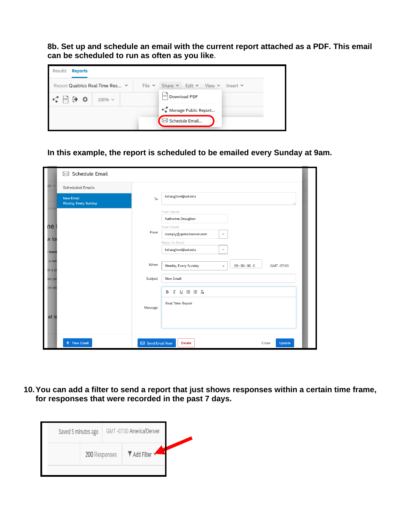**8b. Set up and schedule an email with the current report attached as a PDF. This email can be scheduled to run as often as you like**.

| Results<br><b>Reports</b>        |             |                                      |               |
|----------------------------------|-------------|--------------------------------------|---------------|
| Report Qualtrics Real Time Res Y | File $\vee$ | Share $\vee$ Edit $\vee$ View $\vee$ | Insert $\vee$ |
| ۰<br>$100\% \sim$                |             | <b>Download PDF</b><br>PDF           |               |
|                                  |             | Manage Public Report                 |               |
|                                  |             | Schedule Email                       |               |

**In this example, the report is scheduled to be emailed every Sunday at 9am.** 

|                                      | $\boxtimes$ Schedule Email               |                |                                                                           |
|--------------------------------------|------------------------------------------|----------------|---------------------------------------------------------------------------|
| $\mathsf{dit}$ $\blacktriangleright$ | <b>Scheduled Emails</b>                  |                |                                                                           |
|                                      | <b>New Email</b><br>Weekly, Every Sunday | To             | kdraughon@usi.edu<br>ai l                                                 |
|                                      |                                          |                | From Name<br>Katherine Draughon                                           |
| ne                                   |                                          | From           | From Email                                                                |
| v lo                                 |                                          |                | noreply@qemailserver.com<br>$\checkmark$                                  |
| learni                               |                                          |                | Reply-To Email<br>kdraughon@usi.edu<br>$\checkmark$                       |
| a mor<br>an a ye                     |                                          | When           | Weekly, Every Sunday<br>09:00:00.0<br>GMT -07:00<br>$\checkmark$          |
| wo yea                               |                                          | Subject        | New Email                                                                 |
| ore yea                              |                                          | Message        | $\underline{U} \equiv \equiv \mathcal{I}_x$<br>в<br>I<br>Real Time Report |
| at is                                |                                          |                |                                                                           |
|                                      | + New Email                              | Send Email Now | Update<br><b>Delete</b><br>Close                                          |

**10.You can add a filter to send a report that just shows responses within a certain time frame, for responses that were recorded in the past 7 days.**

| Saved 5 minutes ago |               | GMT-07:00 America/Denver |  |
|---------------------|---------------|--------------------------|--|
|                     | 200 Responses | ▼ Add Filter ▼           |  |
|                     |               |                          |  |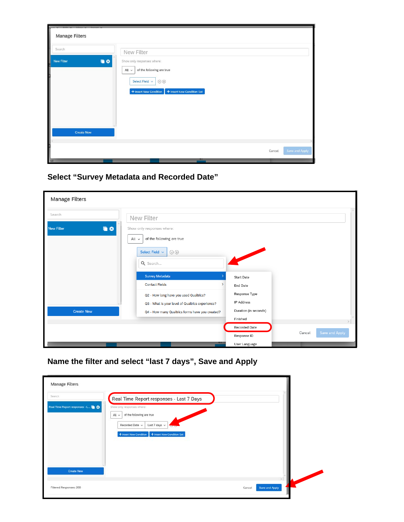| in y Edit y Vinu y Innot y<br><b>Manage Filters</b>    |                                                                                                                                                             |                |
|--------------------------------------------------------|-------------------------------------------------------------------------------------------------------------------------------------------------------------|----------------|
| Search                                                 | New Filter                                                                                                                                                  |                |
| ŧ<br>■ ©<br><b>New Filter</b><br>$\alpha$ and $\alpha$ | Show only responses where:<br>of the following are true<br>$All \vee$<br>Select Field v<br>$\Theta$<br>+ Insert New Condition Set<br>+ Insert New Condition |                |
| <b>Create New</b>                                      |                                                                                                                                                             |                |
|                                                        |                                                                                                                                                             |                |
| 60                                                     | Cancel<br>on                                                                                                                                                | Save and Apply |

**Select "Survey Metadata and Recorded Date"**

| Manage Filters                    |                                                                                                                                               |                                                                  |                          |  |
|-----------------------------------|-----------------------------------------------------------------------------------------------------------------------------------------------|------------------------------------------------------------------|--------------------------|--|
| Search<br><b>New Filter</b><br>60 | New Filter<br>Show only responses where:<br>of the following are true<br>All $\sim$<br>Select Field v<br>$\bigcirc$                           |                                                                  |                          |  |
|                                   | Q Search<br><b>Survey Metadata</b><br><b>Contact Fields</b><br>$\rightarrow$                                                                  | <b>Start Date</b><br>End Date<br>Response Type                   |                          |  |
| <b>Create New</b>                 | Q2 - How long have you used Qualtrics?<br>Q3 - What is your level of Qualtrics experience?<br>Q4 - How many Qualtrics forms have you created? | IP Address<br>Duration (in seconds)<br>Finished<br>Recorded Date |                          |  |
|                                   | 01                                                                                                                                            | Response ID<br>User Language                                     | Save and Apply<br>Cancel |  |

**Name the filter and select "last 7 days", Save and Apply**

| Manage Filters                                      |                                                                                                                                                           |  |
|-----------------------------------------------------|-----------------------------------------------------------------------------------------------------------------------------------------------------------|--|
| Search                                              | Real Time Report responses - Last 7 Days                                                                                                                  |  |
| Real Time Report responses - L<br><b>Create New</b> | Show only responses where:<br>of the following are true<br>All v<br>Recorded Date v<br>Last 7 days v<br>+ Insert New Condition + Insert New Condition Set |  |
|                                                     |                                                                                                                                                           |  |
| Filtered Responses: 200                             | Save and Apply<br>Cancel                                                                                                                                  |  |